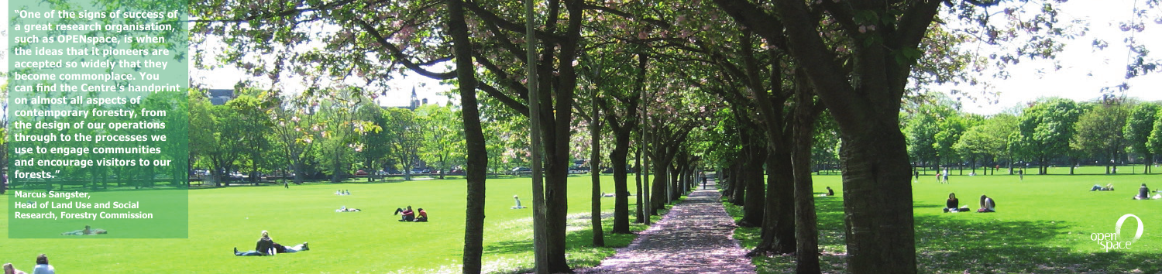**"One of the signs of success of a great research organisation, such as OPENspace, is when the ideas that it pioneers are accepted so widely that they become commonplace. You can find the Centre's handprint on almost all aspects of contemporary forestry, from the design of our operations through to the processes we use to engage communities and encourage visitors to our forests."** 

**Marcus Sangster, Head of Land Use and Social Research, Forestry Commission**

**Contract States**